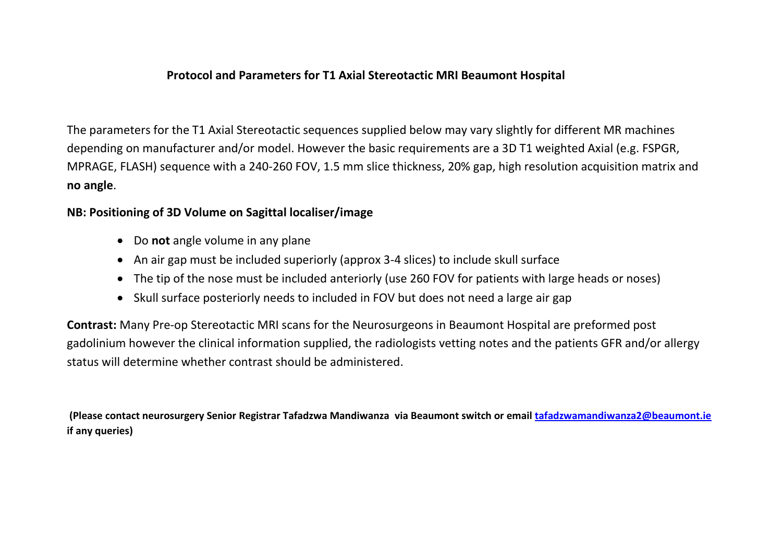## **Protocol and Parameters for T1 Axial Stereotactic MRI Beaumont Hospital**

The parameters for the T1 Axial Stereotactic sequences supplied below may vary slightly for different MR machines depending on manufacturer and/or model. However the basic requirements are a 3D T1 weighted Axial (e.g. FSPGR, MPRAGE, FLASH) sequence with a 240-260 FOV, 1.5 mm slice thickness, 20% gap, high resolution acquisition matrix and **no angle**.

## **NB: Positioning of 3D Volume on Sagittal localiser/image**

- Do **not** angle volume in any plane
- An air gap must be included superiorly (approx 3-4 slices) to include skull surface
- The tip of the nose must be included anteriorly (use 260 FOV for patients with large heads or noses)
- Skull surface posteriorly needs to included in FOV but does not need a large air gap

**Contrast:** Many Pre-op Stereotactic MRI scans for the Neurosurgeons in Beaumont Hospital are preformed post gadolinium however the clinical information supplied, the radiologists vetting notes and the patients GFR and/or allergy status will determine whether contrast should be administered.

**(Please contact neurosurgery Senior Registrar Tafadzwa Mandiwanza via Beaumont switch or email [tafadzwamandiwanza2@beaumont.ie](mailto:tafadzwamandiwanza2@beaumont.ie) if any queries)**